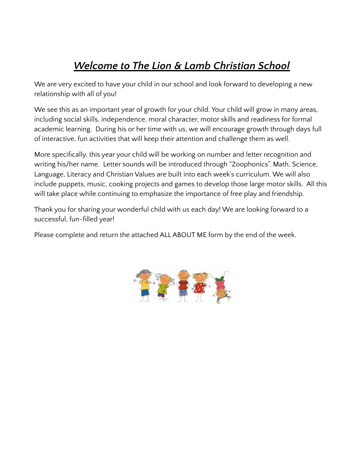# *Welcome to The Lion & Lamb Christian School*

We are very excited to have your child in our school and look forward to developing a new relationship with all of you!

We see this as an important year of growth for your child. Your child will grow in many areas, including social skills, independence, moral character, motor skills and readiness for formal academic learning. During his or her time with us, we will encourage growth through days full of interactive, fun activities that will keep their attention and challenge them as well.

More specifically, this year your child will be working on number and letter recognition and writing his/her name. Letter sounds will be introduced through "Zoophonics". Math, Science, Language, Literacy and Christian Values are built into each week's curriculum. We will also include puppets, music, cooking projects and games to develop those large motor skills. All this will take place while continuing to emphasize the importance of free play and friendship.

Thank you for sharing your wonderful child with us each day! We are looking forward to a successful, fun-filled year!

Please complete and return the attached ALL ABOUT ME form by the end of the week.

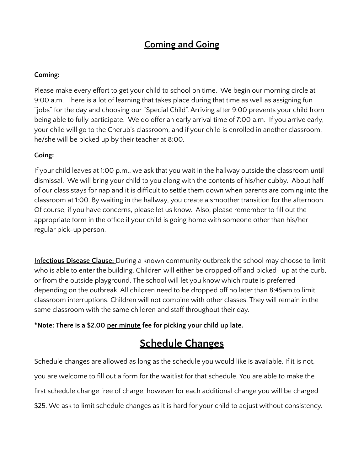# **Coming and Going**

#### **Coming:**

Please make every effort to get your child to school on time. We begin our morning circle at 9:00 a.m. There is a lot of learning that takes place during that time as well as assigning fun "jobs" for the day and choosing our "Special Child". Arriving after 9:00 prevents your child from being able to fully participate. We do offer an early arrival time of 7:00 a.m. If you arrive early, your child will go to the Cherub's classroom, and if your child is enrolled in another classroom, he/she will be picked up by their teacher at 8:00.

### **Going:**

If your child leaves at 1:00 p.m., we ask that you wait in the hallway outside the classroom until dismissal. We will bring your child to you along with the contents of his/her cubby. About half of our class stays for nap and it is difficult to settle them down when parents are coming into the classroom at 1:00. By waiting in the hallway, you create a smoother transition for the afternoon. Of course, if you have concerns, please let us know. Also, please remember to fill out the appropriate form in the office if your child is going home with someone other than his/her regular pick-up person.

**Infectious Disease Clause:** During a known community outbreak the school may choose to limit who is able to enter the building. Children will either be dropped off and picked- up at the curb, or from the outside playground. The school will let you know which route is preferred depending on the outbreak. All children need to be dropped off no later than 8:45am to limit classroom interruptions. Children will not combine with other classes. They will remain in the same classroom with the same children and staff throughout their day.

### **\*Note: There is a \$2.00 per minute fee for picking your child up late.**

# **Schedule Changes**

Schedule changes are allowed as long as the schedule you would like is available. If it is not, you are welcome to fill out a form for the waitlist for that schedule. You are able to make the first schedule change free of charge, however for each additional change you will be charged \$25. We ask to limit schedule changes as it is hard for your child to adjust without consistency.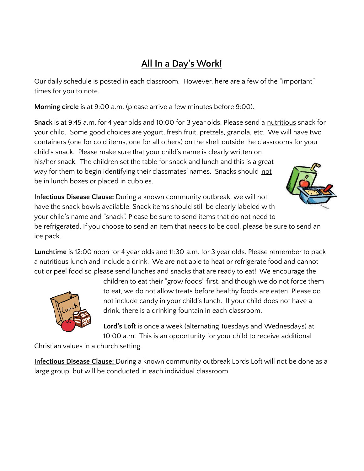# **All In a Day's Work!**

Our daily schedule is posted in each classroom. However, here are a few of the "important" times for you to note.

**Morning circle** is at 9:00 a.m. (please arrive a few minutes before 9:00).

**Snack** is at 9:45 a.m. for 4 year olds and 10:00 for 3 year olds. Please send a nutritious snack for your child. Some good choices are yogurt, fresh fruit, pretzels, granola, etc. We will have two containers (one for cold items, one for all others) on the shelf outside the classrooms for your child's snack. Please make sure that your child's name is clearly written on his/her snack. The children set the table for snack and lunch and this is a great way for them to begin identifying their classmates' names. Snacks should not be in lunch boxes or placed in cubbies.



**Infectious Disease Clause:** During a known community outbreak, we will not have the snack bowls available. Snack items should still be clearly labeled with your child's name and "snack". Please be sure to send items that do not need to be refrigerated. If you choose to send an item that needs to be cool, please be sure to send an ice pack.

**Lunchtime** is 12:00 noon for 4 year olds and 11:30 a.m. for 3 year olds. Please remember to pack a nutritious lunch and include a drink. We are not able to heat or refrigerate food and cannot cut or peel food so please send lunches and snacks that are ready to eat! We encourage the



children to eat their "grow foods" first, and though we do not force them to eat, we do not allow treats before healthy foods are eaten. Please do not include candy in your child's lunch. If your child does not have a drink, there is a drinking fountain in each classroom.

**Lord's Loft** is once a week (alternating Tuesdays and Wednesdays) at 10:00 a.m. This is an opportunity for your child to receive additional

Christian values in a church setting.

**Infectious Disease Clause:** During a known community outbreak Lords Loft will not be done as a large group, but will be conducted in each individual classroom.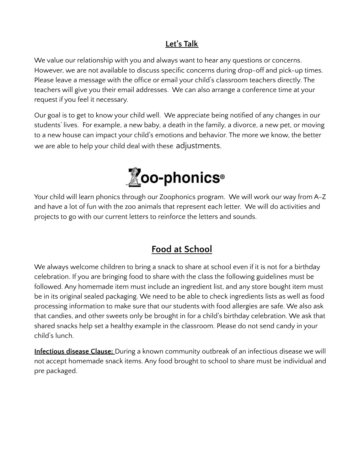## **Let's Talk**

We value our relationship with you and always want to hear any questions or concerns. However, we are not available to discuss specific concerns during drop-off and pick-up times. Please leave a message with the office or email your child's classroom teachers directly. The teachers will give you their email addresses. We can also arrange a conference time at your request if you feel it necessary.

Our goal is to get to know your child well. We appreciate being notified of any changes in our students' lives. For example, a new baby, a death in the family, a divorce, a new pet, or moving to a new house can impact your child's emotions and behavior. The more we know, the better we are able to help your child deal with these adjustments.



Your child will learn phonics through our Zoophonics program. We will work our way from A-Z and have a lot of fun with the zoo animals that represent each letter. We will do activities and projects to go with our current letters to reinforce the letters and sounds.

# **Food at School**

We always welcome children to bring a snack to share at school even if it is not for a birthday celebration. If you are bringing food to share with the class the following guidelines must be followed. Any homemade item must include an ingredient list, and any store bought item must be in its original sealed packaging. We need to be able to check ingredients lists as well as food processing information to make sure that our students with food allergies are safe. We also ask that candies, and other sweets only be brought in for a child's birthday celebration. We ask that shared snacks help set a healthy example in the classroom. Please do not send candy in your child's lunch.

**Infectious disease Clause:** During a known community outbreak of an infectious disease we will not accept homemade snack items. Any food brought to school to share must be individual and pre packaged.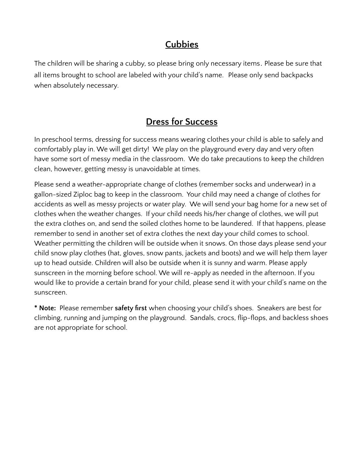# **Cubbies**

The children will be sharing a cubby, so please bring only necessary items. Please be sure that all items brought to school are labeled with your child's name. Please only send backpacks when absolutely necessary.

## **Dress for Success**

In preschool terms, dressing for success means wearing clothes your child is able to safely and comfortably play in. We will get dirty! We play on the playground every day and very often have some sort of messy media in the classroom. We do take precautions to keep the children clean, however, getting messy is unavoidable at times.

Please send a weather-appropriate change of clothes (remember socks and underwear) in a gallon-sized Ziploc bag to keep in the classroom. Your child may need a change of clothes for accidents as well as messy projects or water play. We will send your bag home for a new set of clothes when the weather changes. If your child needs his/her change of clothes, we will put the extra clothes on, and send the soiled clothes home to be laundered. If that happens, please remember to send in another set of extra clothes the next day your child comes to school. Weather permitting the children will be outside when it snows. On those days please send your child snow play clothes (hat, gloves, snow pants, jackets and boots) and we will help them layer up to head outside. Children will also be outside when it is sunny and warm. Please apply sunscreen in the morning before school. We will re-apply as needed in the afternoon. If you would like to provide a certain brand for your child, please send it with your child's name on the sunscreen.

**\* Note:** Please remember **safety first** when choosing your child's shoes. Sneakers are best for climbing, running and jumping on the playground. Sandals, crocs, flip-flops, and backless shoes are not appropriate for school.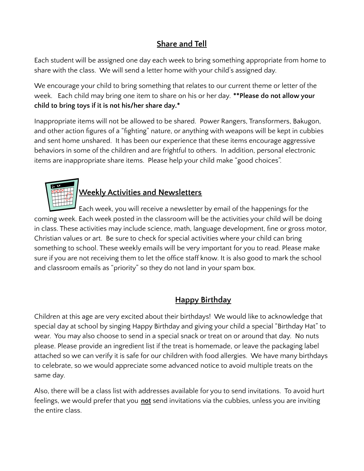## **Share and Tell**

Each student will be assigned one day each week to bring something appropriate from home to share with the class. We will send a letter home with your child's assigned day.

We encourage your child to bring something that relates to our current theme or letter of the week. Each child may bring one item to share on his or her day. **\*\*Please do not allow your child to bring toys if it is not his/her share day.\***

Inappropriate items will not be allowed to be shared. Power Rangers, Transformers, Bakugon, and other action figures of a "fighting" nature, or anything with weapons will be kept in cubbies and sent home unshared. It has been our experience that these items encourage aggressive behaviors in some of the children and are frightful to others. In addition, personal electronic items are inappropriate share items. Please help your child make "good choices".



# **Weekly Activities and Newsletters**

Each week, you will receive a newsletter by email of the happenings for the coming week. Each week posted in the classroom will be the activities your child will be doing in class. These activities may include science, math, language development, fine or gross motor, Christian values or art. Be sure to check for special activities where your child can bring something to school. These weekly emails will be very important for you to read. Please make sure if you are not receiving them to let the office staff know. It is also good to mark the school and classroom emails as "priority" so they do not land in your spam box.

## **Happy Birthday**

Children at this age are very excited about their birthdays! We would like to acknowledge that special day at school by singing Happy Birthday and giving your child a special "Birthday Hat" to wear. You may also choose to send in a special snack or treat on or around that day. No nuts please. Please provide an ingredient list if the treat is homemade, or leave the packaging label attached so we can verify it is safe for our children with food allergies. We have many birthdays to celebrate, so we would appreciate some advanced notice to avoid multiple treats on the same day.

Also, there will be a class list with addresses available for you to send invitations. To avoid hurt feelings, we would prefer that you **not** send invitations via the cubbies, unless you are inviting the entire class.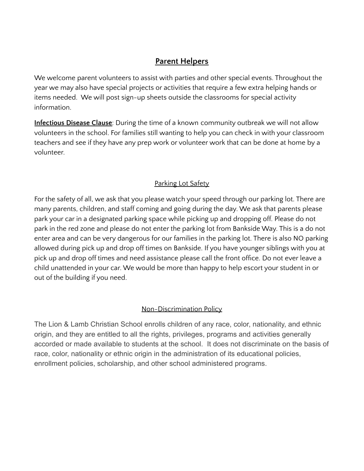### **Parent Helpers**

We welcome parent volunteers to assist with parties and other special events. Throughout the year we may also have special projects or activities that require a few extra helping hands or items needed. We will post sign-up sheets outside the classrooms for special activity information.

**Infectious Disease Clause**: During the time of a known community outbreak we will not allow volunteers in the school. For families still wanting to help you can check in with your classroom teachers and see if they have any prep work or volunteer work that can be done at home by a volunteer.

### Parking Lot Safety

For the safety of all, we ask that you please watch your speed through our parking lot. There are many parents, children, and staff coming and going during the day. We ask that parents please park your car in a designated parking space while picking up and dropping off. Please do not park in the red zone and please do not enter the parking lot from Bankside Way. This is a do not enter area and can be very dangerous for our families in the parking lot. There is also NO parking allowed during pick up and drop off times on Bankside. If you have younger siblings with you at pick up and drop off times and need assistance please call the front office. Do not ever leave a child unattended in your car. We would be more than happy to help escort your student in or out of the building if you need.

### Non-Discrimination Policy

The Lion & Lamb Christian School enrolls children of any race, color, nationality, and ethnic origin, and they are entitled to all the rights, privileges, programs and activities generally accorded or made available to students at the school. It does not discriminate on the basis of race, color, nationality or ethnic origin in the administration of its educational policies, enrollment policies, scholarship, and other school administered programs.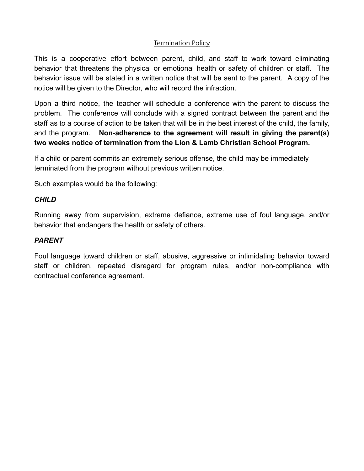#### Termination Policy

This is a cooperative effort between parent, child, and staff to work toward eliminating behavior that threatens the physical or emotional health or safety of children or staff. The behavior issue will be stated in a written notice that will be sent to the parent. A copy of the notice will be given to the Director, who will record the infraction.

Upon a third notice, the teacher will schedule a conference with the parent to discuss the problem. The conference will conclude with a signed contract between the parent and the staff as to a course of action to be taken that will be in the best interest of the child, the family, and the program. **Non-adherence to the agreement will result in giving the parent(s) two weeks notice of termination from the Lion & Lamb Christian School Program.**

If a child or parent commits an extremely serious offense, the child may be immediately terminated from the program without previous written notice.

Such examples would be the following:

#### *CHILD*

Running away from supervision, extreme defiance, extreme use of foul language, and/or behavior that endangers the health or safety of others.

#### *PARENT*

Foul language toward children or staff, abusive, aggressive or intimidating behavior toward staff or children, repeated disregard for program rules, and/or non-compliance with contractual conference agreement.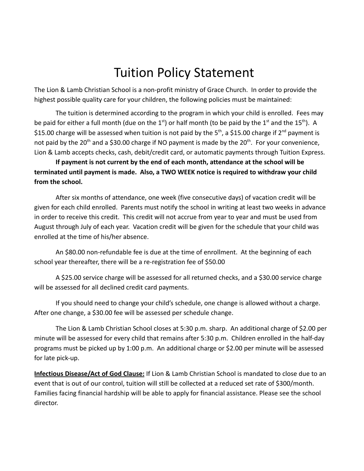# Tuition Policy Statement

The Lion & Lamb Christian School is a non-profit ministry of Grace Church. In order to provide the highest possible quality care for your children, the following policies must be maintained:

The tuition is determined according to the program in which your child is enrolled. Fees may be paid for either a full month (due on the 1<sup>st</sup>) or half month (to be paid by the 1<sup>st</sup> and the 15<sup>th</sup>). A \$15.00 charge will be assessed when tuition is not paid by the 5<sup>th</sup>, a \$15.00 charge if 2<sup>nd</sup> payment is not paid by the 20<sup>th</sup> and a \$30.00 charge if NO payment is made by the 20<sup>th</sup>. For your convenience, Lion & Lamb accepts checks, cash, debit/credit card, or automatic payments through Tuition Express.

**If payment is not current by the end of each month, attendance at the school will be terminated until payment is made. Also, a TWO WEEK notice is required to withdraw your child from the school.**

After six months of attendance, one week (five consecutive days) of vacation credit will be given for each child enrolled. Parents must notify the school in writing at least two weeks in advance in order to receive this credit. This credit will not accrue from year to year and must be used from August through July of each year. Vacation credit will be given for the schedule that your child was enrolled at the time of his/her absence.

An \$80.00 non-refundable fee is due at the time of enrollment. At the beginning of each school year thereafter, there will be a re-registration fee of \$50.00

A \$25.00 service charge will be assessed for all returned checks, and a \$30.00 service charge will be assessed for all declined credit card payments.

If you should need to change your child's schedule, one change is allowed without a charge. After one change, a \$30.00 fee will be assessed per schedule change.

The Lion & Lamb Christian School closes at 5:30 p.m. sharp. An additional charge of \$2.00 per minute will be assessed for every child that remains after 5:30 p.m. Children enrolled in the half-day programs must be picked up by 1:00 p.m. An additional charge or \$2.00 per minute will be assessed for late pick-up.

**Infectious Disease/Act of God Clause:** If Lion & Lamb Christian School is mandated to close due to an event that is out of our control, tuition will still be collected at a reduced set rate of \$300/month. Families facing financial hardship will be able to apply for financial assistance. Please see the school director.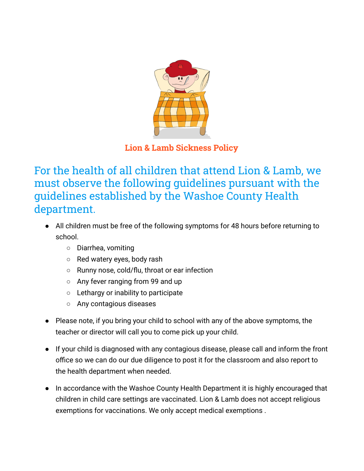

**Lion & Lamb Sickness Policy**

For the health of all children that attend Lion & Lamb, we must observe the following guidelines pursuant with the guidelines established by the Washoe County Health department.

- All children must be free of the following symptoms for 48 hours before returning to school.
	- Diarrhea, vomiting
	- Red watery eyes, body rash
	- Runny nose, cold/flu, throat or ear infection
	- Any fever ranging from 99 and up
	- Lethargy or inability to participate
	- Any contagious diseases
- Please note, if you bring your child to school with any of the above symptoms, the teacher or director will call you to come pick up your child.
- If your child is diagnosed with any contagious disease, please call and inform the front office so we can do our due diligence to post it for the classroom and also report to the health department when needed.
- In accordance with the Washoe County Health Department it is highly encouraged that children in child care settings are vaccinated. Lion & Lamb does not accept religious exemptions for vaccinations. We only accept medical exemptions .